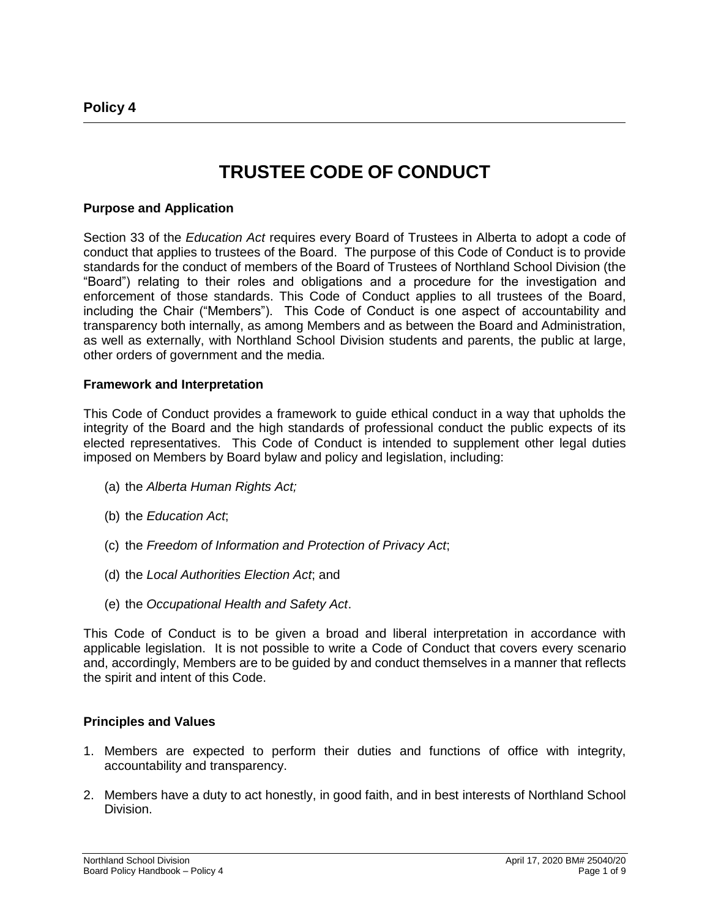# **TRUSTEE CODE OF CONDUCT**

#### **Purpose and Application**

Section 33 of the *Education Act* requires every Board of Trustees in Alberta to adopt a code of conduct that applies to trustees of the Board. The purpose of this Code of Conduct is to provide standards for the conduct of members of the Board of Trustees of Northland School Division (the "Board") relating to their roles and obligations and a procedure for the investigation and enforcement of those standards. This Code of Conduct applies to all trustees of the Board, including the Chair ("Members"). This Code of Conduct is one aspect of accountability and transparency both internally, as among Members and as between the Board and Administration, as well as externally, with Northland School Division students and parents, the public at large, other orders of government and the media.

#### **Framework and Interpretation**

This Code of Conduct provides a framework to guide ethical conduct in a way that upholds the integrity of the Board and the high standards of professional conduct the public expects of its elected representatives. This Code of Conduct is intended to supplement other legal duties imposed on Members by Board bylaw and policy and legislation, including:

- (a) the *Alberta Human Rights Act;*
- (b) the *Education Act*;
- (c) the *Freedom of Information and Protection of Privacy Act*;
- (d) the *Local Authorities Election Act*; and
- (e) the *Occupational Health and Safety Act*.

This Code of Conduct is to be given a broad and liberal interpretation in accordance with applicable legislation. It is not possible to write a Code of Conduct that covers every scenario and, accordingly, Members are to be guided by and conduct themselves in a manner that reflects the spirit and intent of this Code.

#### **Principles and Values**

- 1. Members are expected to perform their duties and functions of office with integrity, accountability and transparency.
- 2. Members have a duty to act honestly, in good faith, and in best interests of Northland School Division.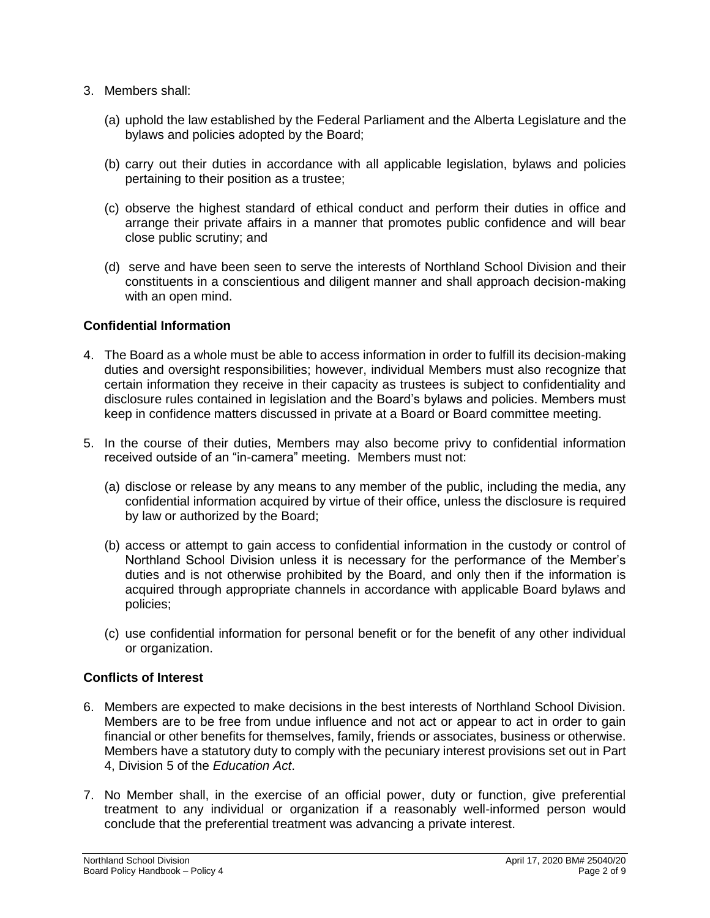- 3. Members shall:
	- (a) uphold the law established by the Federal Parliament and the Alberta Legislature and the bylaws and policies adopted by the Board;
	- (b) carry out their duties in accordance with all applicable legislation, bylaws and policies pertaining to their position as a trustee;
	- (c) observe the highest standard of ethical conduct and perform their duties in office and arrange their private affairs in a manner that promotes public confidence and will bear close public scrutiny; and
	- (d) serve and have been seen to serve the interests of Northland School Division and their constituents in a conscientious and diligent manner and shall approach decision-making with an open mind.

## **Confidential Information**

- 4. The Board as a whole must be able to access information in order to fulfill its decision-making duties and oversight responsibilities; however, individual Members must also recognize that certain information they receive in their capacity as trustees is subject to confidentiality and disclosure rules contained in legislation and the Board's bylaws and policies. Members must keep in confidence matters discussed in private at a Board or Board committee meeting.
- 5. In the course of their duties, Members may also become privy to confidential information received outside of an "in-camera" meeting. Members must not:
	- (a) disclose or release by any means to any member of the public, including the media, any confidential information acquired by virtue of their office, unless the disclosure is required by law or authorized by the Board;
	- (b) access or attempt to gain access to confidential information in the custody or control of Northland School Division unless it is necessary for the performance of the Member's duties and is not otherwise prohibited by the Board, and only then if the information is acquired through appropriate channels in accordance with applicable Board bylaws and policies;
	- (c) use confidential information for personal benefit or for the benefit of any other individual or organization.

### **Conflicts of Interest**

- 6. Members are expected to make decisions in the best interests of Northland School Division. Members are to be free from undue influence and not act or appear to act in order to gain financial or other benefits for themselves, family, friends or associates, business or otherwise. Members have a statutory duty to comply with the pecuniary interest provisions set out in Part 4, Division 5 of the *Education Act*.
- 7. No Member shall, in the exercise of an official power, duty or function, give preferential treatment to any individual or organization if a reasonably well-informed person would conclude that the preferential treatment was advancing a private interest.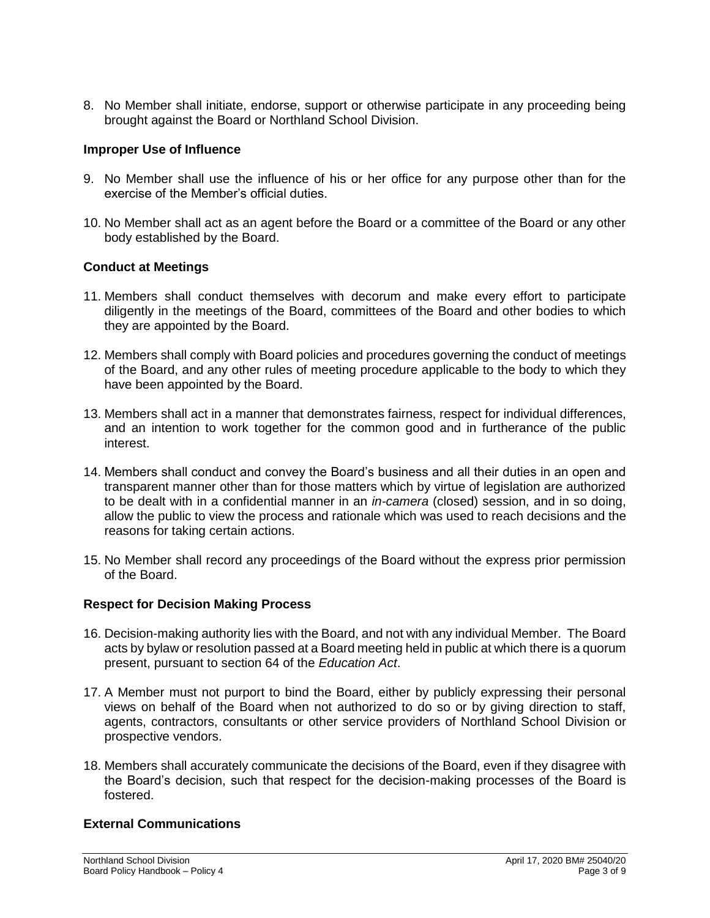8. No Member shall initiate, endorse, support or otherwise participate in any proceeding being brought against the Board or Northland School Division.

# **Improper Use of Influence**

- 9. No Member shall use the influence of his or her office for any purpose other than for the exercise of the Member's official duties.
- 10. No Member shall act as an agent before the Board or a committee of the Board or any other body established by the Board.

# **Conduct at Meetings**

- 11. Members shall conduct themselves with decorum and make every effort to participate diligently in the meetings of the Board, committees of the Board and other bodies to which they are appointed by the Board.
- 12. Members shall comply with Board policies and procedures governing the conduct of meetings of the Board, and any other rules of meeting procedure applicable to the body to which they have been appointed by the Board.
- 13. Members shall act in a manner that demonstrates fairness, respect for individual differences, and an intention to work together for the common good and in furtherance of the public interest.
- 14. Members shall conduct and convey the Board's business and all their duties in an open and transparent manner other than for those matters which by virtue of legislation are authorized to be dealt with in a confidential manner in an *in-camera* (closed) session, and in so doing, allow the public to view the process and rationale which was used to reach decisions and the reasons for taking certain actions.
- 15. No Member shall record any proceedings of the Board without the express prior permission of the Board.

### **Respect for Decision Making Process**

- 16. Decision-making authority lies with the Board, and not with any individual Member. The Board acts by bylaw or resolution passed at a Board meeting held in public at which there is a quorum present, pursuant to section 64 of the *Education Act*.
- 17. A Member must not purport to bind the Board, either by publicly expressing their personal views on behalf of the Board when not authorized to do so or by giving direction to staff, agents, contractors, consultants or other service providers of Northland School Division or prospective vendors.
- 18. Members shall accurately communicate the decisions of the Board, even if they disagree with the Board's decision, such that respect for the decision-making processes of the Board is fostered.

### **External Communications**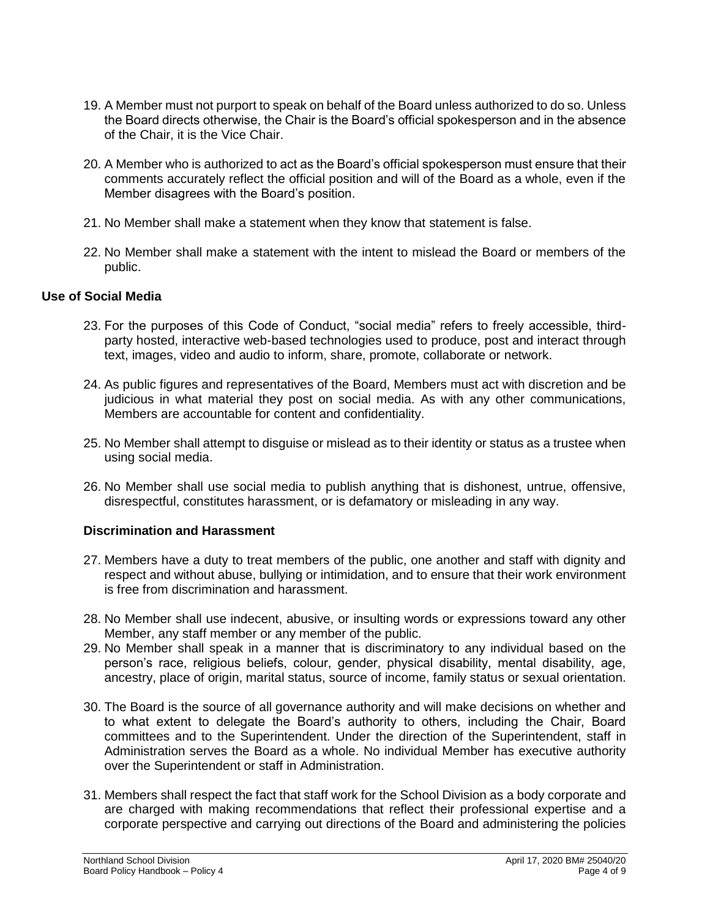- 19. A Member must not purport to speak on behalf of the Board unless authorized to do so. Unless the Board directs otherwise, the Chair is the Board's official spokesperson and in the absence of the Chair, it is the Vice Chair.
- 20. A Member who is authorized to act as the Board's official spokesperson must ensure that their comments accurately reflect the official position and will of the Board as a whole, even if the Member disagrees with the Board's position.
- 21. No Member shall make a statement when they know that statement is false.
- 22. No Member shall make a statement with the intent to mislead the Board or members of the public.

### **Use of Social Media**

- 23. For the purposes of this Code of Conduct, "social media" refers to freely accessible, thirdparty hosted, interactive web-based technologies used to produce, post and interact through text, images, video and audio to inform, share, promote, collaborate or network.
- 24. As public figures and representatives of the Board, Members must act with discretion and be judicious in what material they post on social media. As with any other communications, Members are accountable for content and confidentiality.
- 25. No Member shall attempt to disguise or mislead as to their identity or status as a trustee when using social media.
- 26. No Member shall use social media to publish anything that is dishonest, untrue, offensive, disrespectful, constitutes harassment, or is defamatory or misleading in any way.

## **Discrimination and Harassment**

- 27. Members have a duty to treat members of the public, one another and staff with dignity and respect and without abuse, bullying or intimidation, and to ensure that their work environment is free from discrimination and harassment.
- 28. No Member shall use indecent, abusive, or insulting words or expressions toward any other Member, any staff member or any member of the public.
- 29. No Member shall speak in a manner that is discriminatory to any individual based on the person's race, religious beliefs, colour, gender, physical disability, mental disability, age, ancestry, place of origin, marital status, source of income, family status or sexual orientation.
- 30. The Board is the source of all governance authority and will make decisions on whether and to what extent to delegate the Board's authority to others, including the Chair, Board committees and to the Superintendent. Under the direction of the Superintendent, staff in Administration serves the Board as a whole. No individual Member has executive authority over the Superintendent or staff in Administration.
- 31. Members shall respect the fact that staff work for the School Division as a body corporate and are charged with making recommendations that reflect their professional expertise and a corporate perspective and carrying out directions of the Board and administering the policies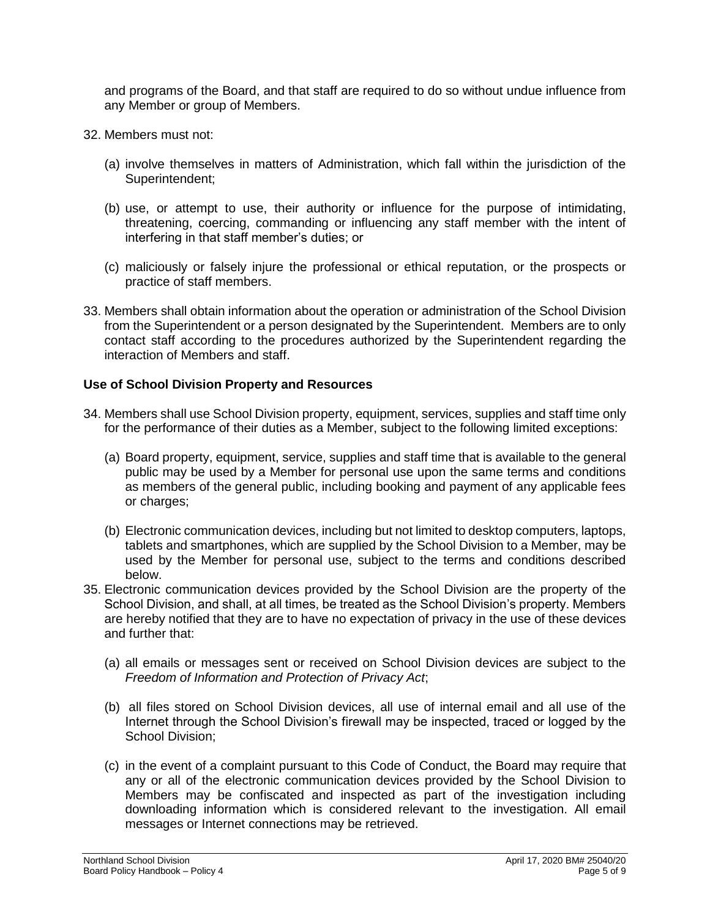and programs of the Board, and that staff are required to do so without undue influence from any Member or group of Members.

- 32. Members must not:
	- (a) involve themselves in matters of Administration, which fall within the jurisdiction of the Superintendent;
	- (b) use, or attempt to use, their authority or influence for the purpose of intimidating, threatening, coercing, commanding or influencing any staff member with the intent of interfering in that staff member's duties; or
	- (c) maliciously or falsely injure the professional or ethical reputation, or the prospects or practice of staff members.
- 33. Members shall obtain information about the operation or administration of the School Division from the Superintendent or a person designated by the Superintendent. Members are to only contact staff according to the procedures authorized by the Superintendent regarding the interaction of Members and staff.

# **Use of School Division Property and Resources**

- 34. Members shall use School Division property, equipment, services, supplies and staff time only for the performance of their duties as a Member, subject to the following limited exceptions:
	- (a) Board property, equipment, service, supplies and staff time that is available to the general public may be used by a Member for personal use upon the same terms and conditions as members of the general public, including booking and payment of any applicable fees or charges;
	- (b) Electronic communication devices, including but not limited to desktop computers, laptops, tablets and smartphones, which are supplied by the School Division to a Member, may be used by the Member for personal use, subject to the terms and conditions described below.
- 35. Electronic communication devices provided by the School Division are the property of the School Division, and shall, at all times, be treated as the School Division's property. Members are hereby notified that they are to have no expectation of privacy in the use of these devices and further that:
	- (a) all emails or messages sent or received on School Division devices are subject to the *Freedom of Information and Protection of Privacy Act*;
	- (b) all files stored on School Division devices, all use of internal email and all use of the Internet through the School Division's firewall may be inspected, traced or logged by the School Division;
	- (c) in the event of a complaint pursuant to this Code of Conduct, the Board may require that any or all of the electronic communication devices provided by the School Division to Members may be confiscated and inspected as part of the investigation including downloading information which is considered relevant to the investigation. All email messages or Internet connections may be retrieved.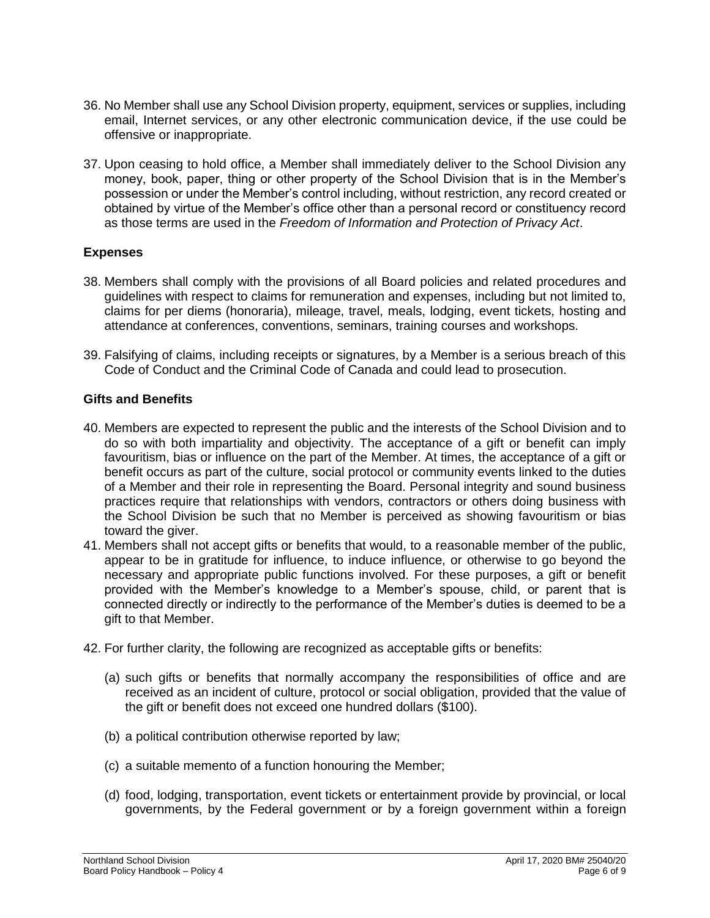- 36. No Member shall use any School Division property, equipment, services or supplies, including email, Internet services, or any other electronic communication device, if the use could be offensive or inappropriate.
- 37. Upon ceasing to hold office, a Member shall immediately deliver to the School Division any money, book, paper, thing or other property of the School Division that is in the Member's possession or under the Member's control including, without restriction, any record created or obtained by virtue of the Member's office other than a personal record or constituency record as those terms are used in the *Freedom of Information and Protection of Privacy Act*.

### **Expenses**

- 38. Members shall comply with the provisions of all Board policies and related procedures and guidelines with respect to claims for remuneration and expenses, including but not limited to, claims for per diems (honoraria), mileage, travel, meals, lodging, event tickets, hosting and attendance at conferences, conventions, seminars, training courses and workshops.
- 39. Falsifying of claims, including receipts or signatures, by a Member is a serious breach of this Code of Conduct and the Criminal Code of Canada and could lead to prosecution.

# **Gifts and Benefits**

- 40. Members are expected to represent the public and the interests of the School Division and to do so with both impartiality and objectivity. The acceptance of a gift or benefit can imply favouritism, bias or influence on the part of the Member. At times, the acceptance of a gift or benefit occurs as part of the culture, social protocol or community events linked to the duties of a Member and their role in representing the Board. Personal integrity and sound business practices require that relationships with vendors, contractors or others doing business with the School Division be such that no Member is perceived as showing favouritism or bias toward the giver.
- 41. Members shall not accept gifts or benefits that would, to a reasonable member of the public, appear to be in gratitude for influence, to induce influence, or otherwise to go beyond the necessary and appropriate public functions involved. For these purposes, a gift or benefit provided with the Member's knowledge to a Member's spouse, child, or parent that is connected directly or indirectly to the performance of the Member's duties is deemed to be a gift to that Member.
- 42. For further clarity, the following are recognized as acceptable gifts or benefits:
	- (a) such gifts or benefits that normally accompany the responsibilities of office and are received as an incident of culture, protocol or social obligation, provided that the value of the gift or benefit does not exceed one hundred dollars (\$100).
	- (b) a political contribution otherwise reported by law;
	- (c) a suitable memento of a function honouring the Member;
	- (d) food, lodging, transportation, event tickets or entertainment provide by provincial, or local governments, by the Federal government or by a foreign government within a foreign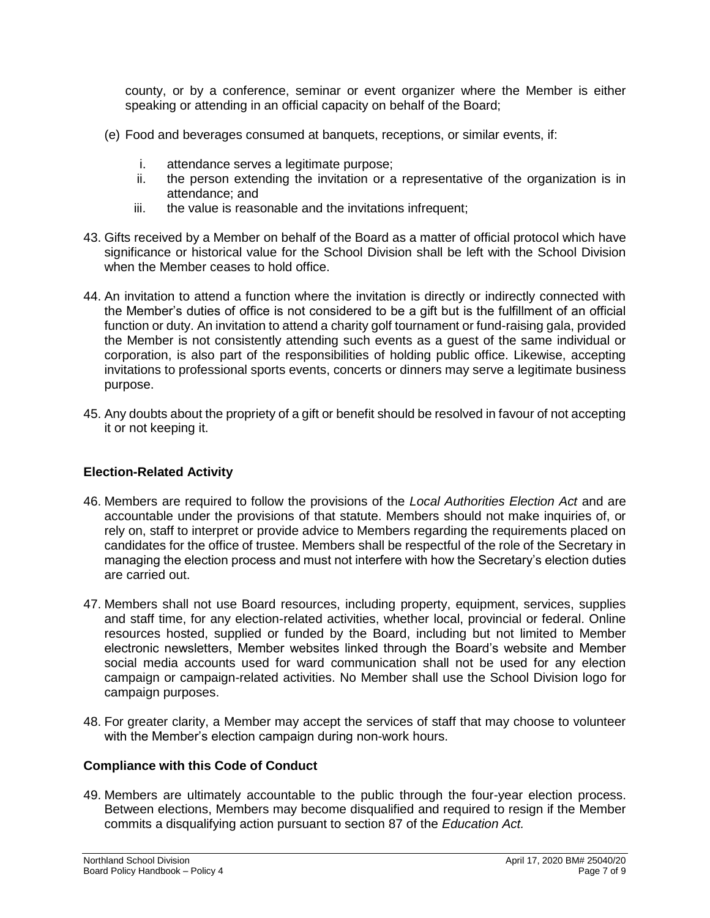county, or by a conference, seminar or event organizer where the Member is either speaking or attending in an official capacity on behalf of the Board;

- (e) Food and beverages consumed at banquets, receptions, or similar events, if:
	- i. attendance serves a legitimate purpose;
	- ii. the person extending the invitation or a representative of the organization is in attendance; and
	- iii. the value is reasonable and the invitations infrequent;
- 43. Gifts received by a Member on behalf of the Board as a matter of official protocol which have significance or historical value for the School Division shall be left with the School Division when the Member ceases to hold office.
- 44. An invitation to attend a function where the invitation is directly or indirectly connected with the Member's duties of office is not considered to be a gift but is the fulfillment of an official function or duty. An invitation to attend a charity golf tournament or fund-raising gala, provided the Member is not consistently attending such events as a guest of the same individual or corporation, is also part of the responsibilities of holding public office. Likewise, accepting invitations to professional sports events, concerts or dinners may serve a legitimate business purpose.
- 45. Any doubts about the propriety of a gift or benefit should be resolved in favour of not accepting it or not keeping it.

### **Election-Related Activity**

- 46. Members are required to follow the provisions of the *Local Authorities Election Act* and are accountable under the provisions of that statute. Members should not make inquiries of, or rely on, staff to interpret or provide advice to Members regarding the requirements placed on candidates for the office of trustee. Members shall be respectful of the role of the Secretary in managing the election process and must not interfere with how the Secretary's election duties are carried out.
- 47. Members shall not use Board resources, including property, equipment, services, supplies and staff time, for any election-related activities, whether local, provincial or federal. Online resources hosted, supplied or funded by the Board, including but not limited to Member electronic newsletters, Member websites linked through the Board's website and Member social media accounts used for ward communication shall not be used for any election campaign or campaign-related activities. No Member shall use the School Division logo for campaign purposes.
- 48. For greater clarity, a Member may accept the services of staff that may choose to volunteer with the Member's election campaign during non-work hours.

### **Compliance with this Code of Conduct**

49. Members are ultimately accountable to the public through the four-year election process. Between elections, Members may become disqualified and required to resign if the Member commits a disqualifying action pursuant to section 87 of the *Education Act.*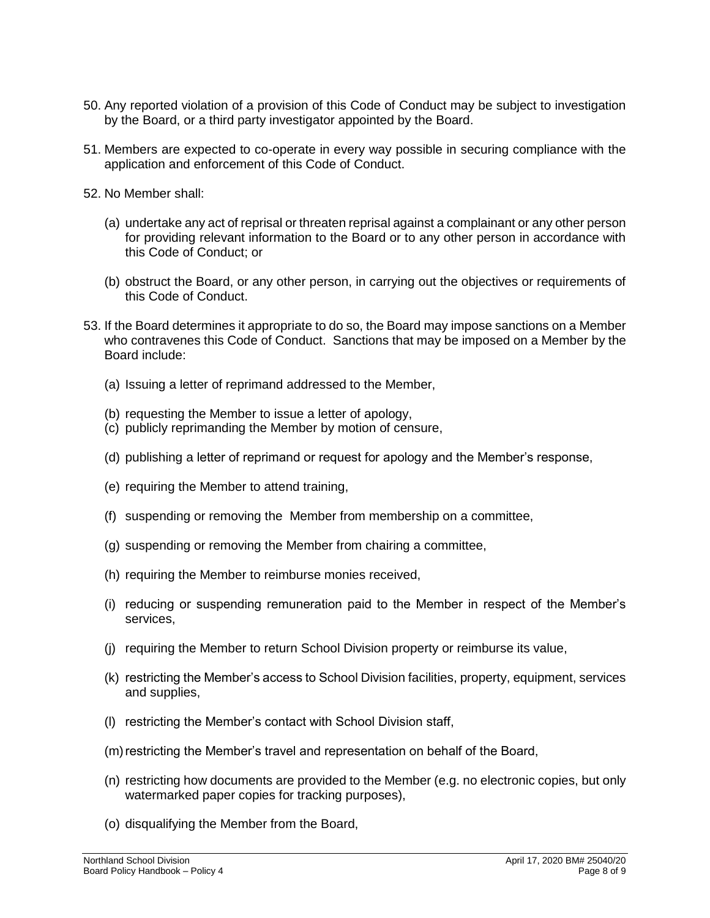- 50. Any reported violation of a provision of this Code of Conduct may be subject to investigation by the Board, or a third party investigator appointed by the Board.
- 51. Members are expected to co-operate in every way possible in securing compliance with the application and enforcement of this Code of Conduct.
- 52. No Member shall:
	- (a) undertake any act of reprisal or threaten reprisal against a complainant or any other person for providing relevant information to the Board or to any other person in accordance with this Code of Conduct; or
	- (b) obstruct the Board, or any other person, in carrying out the objectives or requirements of this Code of Conduct.
- 53. If the Board determines it appropriate to do so, the Board may impose sanctions on a Member who contravenes this Code of Conduct. Sanctions that may be imposed on a Member by the Board include:
	- (a) Issuing a letter of reprimand addressed to the Member,
	- (b) requesting the Member to issue a letter of apology,
	- (c) publicly reprimanding the Member by motion of censure,
	- (d) publishing a letter of reprimand or request for apology and the Member's response,
	- (e) requiring the Member to attend training,
	- (f) suspending or removing the Member from membership on a committee,
	- (g) suspending or removing the Member from chairing a committee,
	- (h) requiring the Member to reimburse monies received,
	- (i) reducing or suspending remuneration paid to the Member in respect of the Member's services,
	- (j) requiring the Member to return School Division property or reimburse its value,
	- (k) restricting the Member's access to School Division facilities, property, equipment, services and supplies,
	- (l) restricting the Member's contact with School Division staff,
	- (m) restricting the Member's travel and representation on behalf of the Board,
	- (n) restricting how documents are provided to the Member (e.g. no electronic copies, but only watermarked paper copies for tracking purposes),
	- (o) disqualifying the Member from the Board,